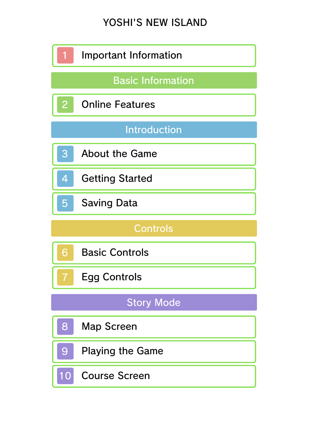# YOSHI'S NEW ISLAND

|                          | Important Information   |  |
|--------------------------|-------------------------|--|
| <b>Basic Information</b> |                         |  |
| $\overline{2}$           | <b>Online Features</b>  |  |
| <b>Introduction</b>      |                         |  |
| 3                        | <b>About the Game</b>   |  |
| 4                        | <b>Getting Started</b>  |  |
| 5                        | <b>Saving Data</b>      |  |
| <b>Controls</b>          |                         |  |
|                          |                         |  |
| 6                        | <b>Basic Controls</b>   |  |
|                          | <b>Egg Controls</b>     |  |
|                          | <b>Story Mode</b>       |  |
| 8                        | <b>Map Screen</b>       |  |
| 9                        | <b>Playing the Game</b> |  |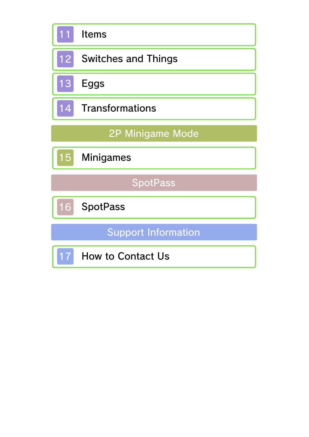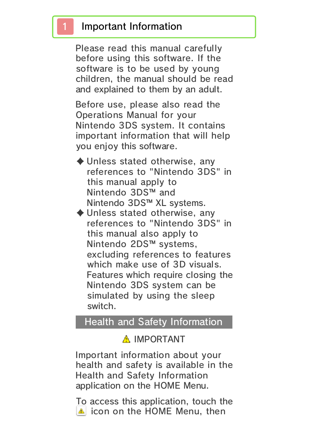#### 1 Important Information

Please read this manual carefully before using this software. If the software is to be used by young children, the manual should be read and explained to them by an adult.

Before use, please also read the Operations Manual for your Nintendo 3DS system. It contains important information that will help you enjoy this software.

- ♦ Unless stated otherwise, any references to "Nintendo 3DS" in this manual apply to Nintendo 3DS™ and Nintendo 3DS™ XL systems.
- ♦ Unless stated otherwise, any references to "Nintendo 3DS" in this manual also apply to Nintendo 2DS™ systems, excluding references to features which make use of 3D visuals. Features which require closing the Nintendo 3DS system can be simulated by using the sleep switch.

#### Health and Safety Information

#### A IMPORTANT

Important information about your health and safety is available in the Health and Safety Information application on the HOME Menu.

To access this application, touch the **A** icon on the HOME Menu, then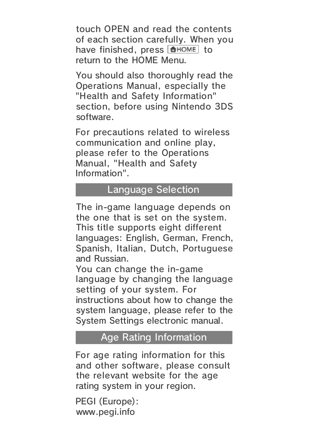touch OPEN and read the contents of each section carefully. When you have finished, press  $\theta$  and  $\theta$  to return to the HOME Menu.

You should also thoroughly read the Operations Manual, especially the "Health and Safety Information" section, before using Nintendo 3DS software.

For precautions related to wireless communication and online play, please refer to the Operations Manual, "Health and Safety Information".

#### Language Selection

The in-game language depends on the one that is set on the system. This title supports eight different languages: English, German, French, Spanish, Italian, Dutch, Portuguese and Russian.

You can change the in-game language by changing the language setting of your system. For instructions about how to change the system language, please refer to the System Settings electronic manual.

#### Age Rating Information

For age rating information for this and other software, please consult the relevant website for the age rating system in your region.

www.pegi.info PEGI (Europe):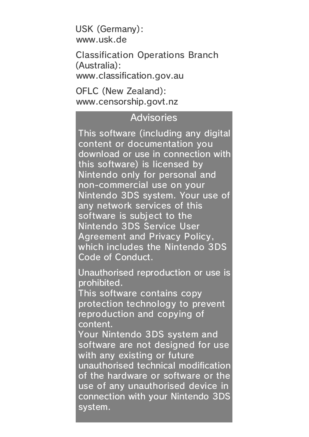USK (Germany): www.usk.de

Classification Operations Branch (Australia): www.classification.gov.au

OFLC (New Zealand): www.censorship.govt.nz

#### **Advisories**

This software (including any digital content or documentation you download or use in connection with this software) is licensed by Nintendo only for personal and non-commercial use on your Nintendo 3DS system. Your use of any network services of this software is subject to the Nintendo 3DS Service User Agreement and Privacy Policy, which includes the Nintendo 3DS Code of Conduct.

Unauthorised reproduction or use is prohibited.

This software contains copy protection technology to prevent reproduction and copying of content.

Your Nintendo 3DS system and software are not designed for use with any existing or future unauthorised technical modification of the hardware or software or the use of any unauthorised device in connection with your Nintendo 3DS system.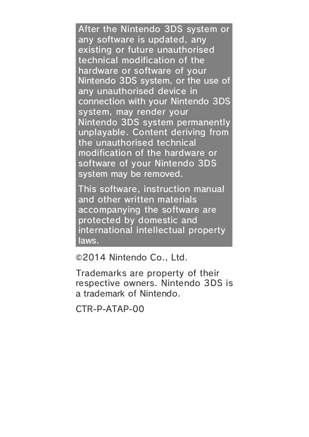After the Nintendo 3DS system or any software is updated, any existing or future unauthorised technical modification of the hardware or software of your Nintendo 3DS system, or the use of any unauthorised device in connection with your Nintendo 3DS system, may render your Nintendo 3DS system permanently unplayable. Content deriving from the unauthorised technical modification of the hardware or software of your Nintendo 3DS system may be removed.

This software, instruction manual and other written materials accompanying the software are protected by domestic and international intellectual property laws.

©2014 Nintendo Co., Ltd.

Trademarks are property of their respective owners. Nintendo 3DS is a trademark of Nintendo.

CTR-P-ATAP-00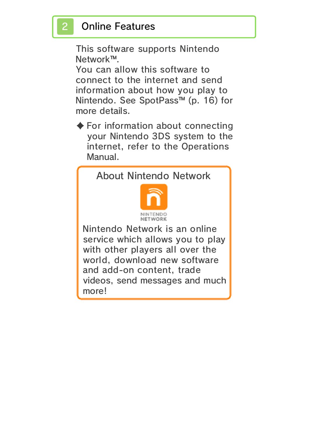## **Online Features**

This software supports Nintendo Network™.

You can allow this software to connect to the internet and send information about how you play to Nintendo. See SpotPass™ (p. 16) for more details.

 $\blacklozenge$  For information about connecting your Nintendo 3DS system to the internet, refer to the Operations Manual.

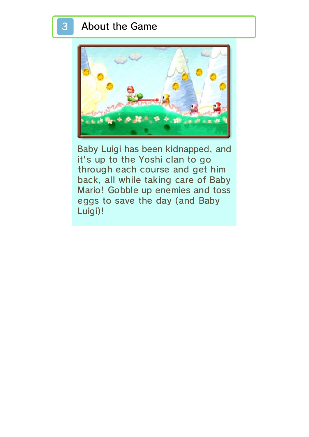#### 3 About the Game



Baby Luigi has been kidnapped, and it's up to the Yoshi clan to go through each course and get him back, all while taking care of Baby Mario! Gobble up enemies and toss eggs to save the day (and Baby Luigi)!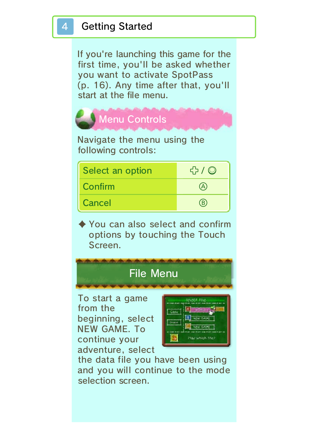If you're launching this game for the first time, you'll be asked whether you want to activate SpotPass (p. 16). Any time after that, you'll start at the file menu.



Navigate the menu using the following controls:

| Select an option | ናን / © |
|------------------|--------|
| <b>Confirm</b>   | (A)    |
| Cancel           | (B)    |

♦ You can also select and confirm options by touching the Touch Screen.

## File Menu

To start a game from the beginning, select NEW GAME. To continue your adventure, select



the data file you have been using and you will continue to the mode selection screen.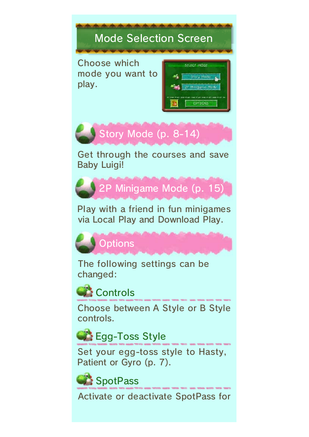# Mode Selection Screen

Choose which mode you want to play.

| SELENS HODE          |
|----------------------|
| చిన<br>y trin        |
| Game Mode<br>SF Mink |
| $- -$<br>.           |



Get through the courses and save Baby Luigi!



Play with a friend in fun minigames via Local Play and Download Play.



The following settings can be changed:



Choose between A Style or B Style controls.

Egg-Toss Style

Set your egg-toss style to Hasty, Patient or Gyro (p. 7).

SpotPass

Activate or deactivate SpotPass for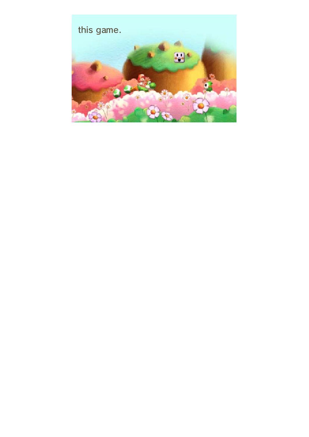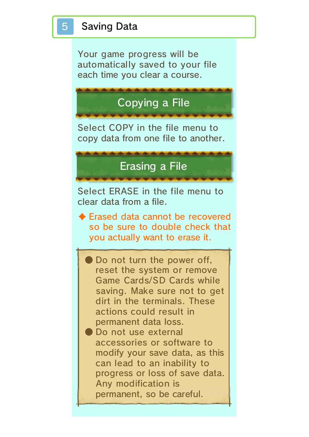Your game progress will be automatically saved to your file each time you clear a course.

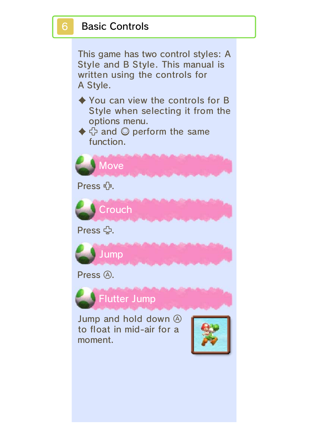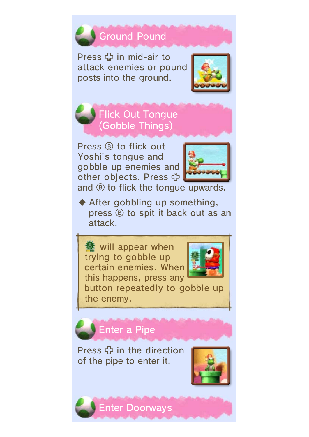

Press  $\oplus$  in mid-air to attack enemies or pound posts into the ground.





Press ® to flick out Yoshi's tongue and gobble up enemies and other objects. Press G



and  $\circledR$  to flick the tongue upwards.

 $\blacklozenge$  After gobbling up something, press  $\circled{B}$  to spit it back out as an attack.

**赞** will appear when trying to gobble up certain enemies. When this happens, press any



button repeatedly to gobble up the enemy.

Enter a Pipe

Press  $\oplus$  in the direction of the pipe to enter it.



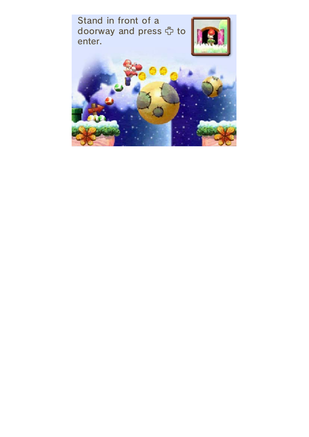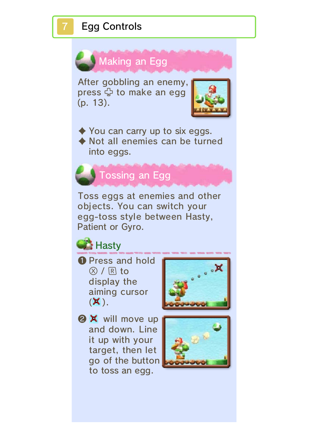## **Egg Controls**



objects. You can switch your egg-toss style between Hasty, Patient or Gyro.



❶ Press and hold  $\circledR$  /  $\mathbb R$  to display the aiming cursor  $(\mathsf{X})$ .



**@ X** will move up and down. Line it up with your target, then let go of the button to toss an egg.

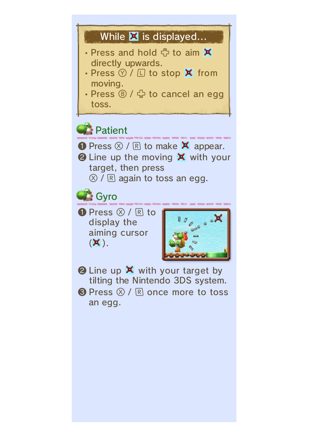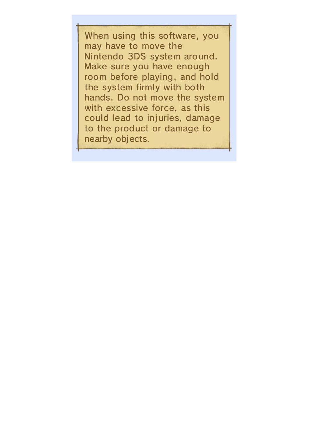When using this software, you may have to move the Nintendo 3DS system around. Make sure you have enough room before playing, and hold the system firmly with both hands. Do not move the system with excessive force, as this could lead to injuries, damage to the product or damage to nearby objects.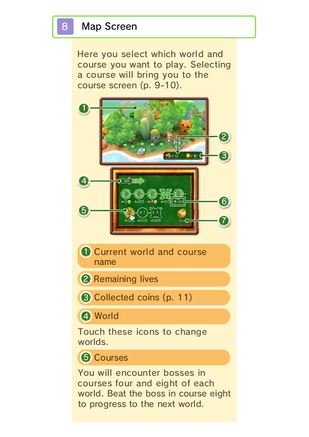Here you select which world and course you want to play. Selecting a course will bring you to the course screen (p. 9-10).



**D** Current world and course name

2 Remaining lives

**3 Collected coins (p. 11)** 

4 World

Touch these icons to change worlds.

#### **6** Courses

You will encounter bosses in courses four and eight of each world. Beat the boss in course eight to progress to the next world.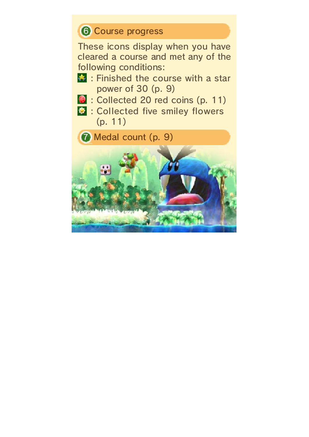## **6 Course progress**

These icons display when you have cleared a course and met any of the following conditions:

- **\*** : Finished the course with a star power of 30 (p. 9)
- **3** : Collected 20 red coins (p. 11)
- **C:** : Collected five smiley flowers (p. 11)

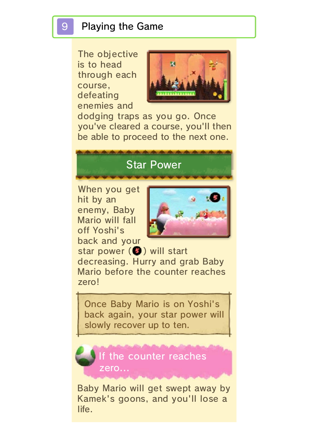The objective is to head through each course, defeating enemies and



dodging traps as you go. Once you've cleared a course, you'll then be able to proceed to the next one.

## Star Power

When you get hit by an enemy, Baby Mario will fall off Yoshi's back and your



star power (O) will start decreasing. Hurry and grab Baby Mario before the counter reaches zero!

Once Baby Mario is on Yoshi's back again, your star power will slowly recover up to ten.



Baby Mario will get swept away by Kamek's goons, and you'll lose a life.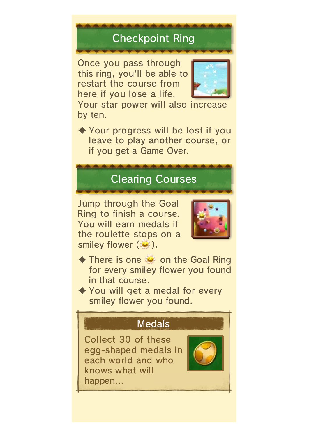# Checkpoint Ring

Once you pass through this ring, you'll be able to restart the course from here if you lose a life.



Your star power will also increase by ten.

♦ Your progress will be lost if you leave to play another course, or if you get a Game Over.

## Clearing Courses

Jump through the Goal Ring to finish a course. You will earn medals if the roulette stops on a smiley flower ( ).



- $\blacklozenge$  There is one  $\blacktriangleright$  on the Goal Ring for every smiley flower you found in that course.
- ◆ You will get a medal for every smiley flower you found.



Collect 30 of these egg-shaped medals in each world and who knows what will happen...

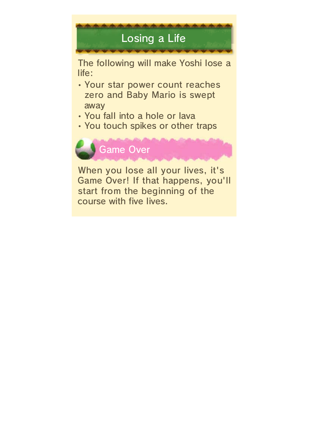

The following will make Yoshi lose a life:

- Your star power count reaches zero and Baby Mario is swept away
- You fall into a hole or lava
- You touch spikes or other traps



When you lose all your lives, it's Game Over! If that happens, you'll start from the beginning of the course with five lives.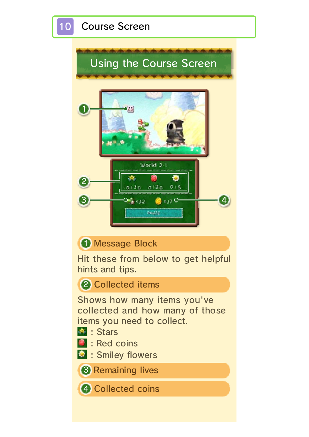

#### **1** Message Block

Hit these from below to get helpful hints and tips.

#### 2 Collected items

Shows how many items you've collected and how many of those items you need to collect.

- **External Stars**
- **B**: Red coins
- $\bullet$  : Smiley flowers

**3** Remaining lives

4 Collected coins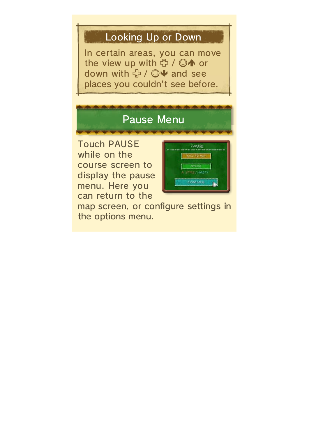## Looking Up or Down

In certain areas, you can move the view up with <del>中 / ◎4</del> or down with <del>①</del> / ◎ + and see places you couldn't see before.

# Pause Menu

Touch PAUSE while on the course screen to display the pause menu. Here you can return to the



map screen, or configure settings in the options menu.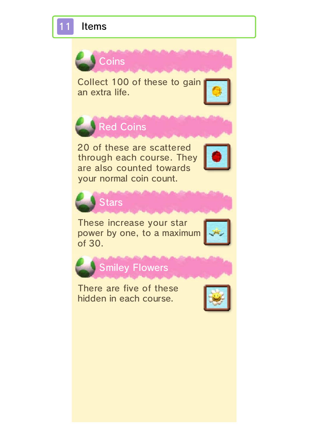11 Items





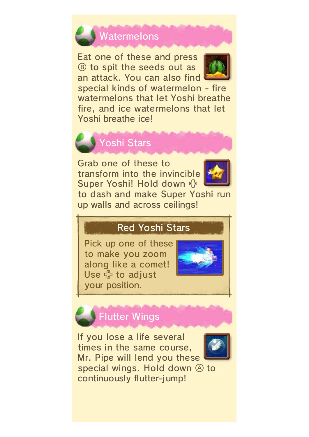

Eat one of these and press  $\circledR$  to spit the seeds out as an attack. You can also find



special kinds of watermelon - fire watermelons that let Yoshi breathe fire, and ice watermelons that let Yoshi breathe ice!



Grab one of these to transform into the invincible Super Yoshi! Hold down



to dash and make Super Yoshi run up walls and across ceilings!

## Red Yoshi Stars

Pick up one of these to make you zoom along like a comet! Use ☆ to adjust your position.



# Flutter Wings

If you lose a life several times in the same course, Mr. Pipe will lend you these



special wings. Hold down  $\circledA$  to continuously flutter-jump!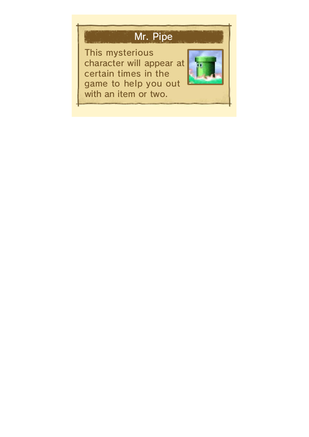# Mr. Pipe

This mysterious character will appear at certain times in the game to help you out with an item or two.

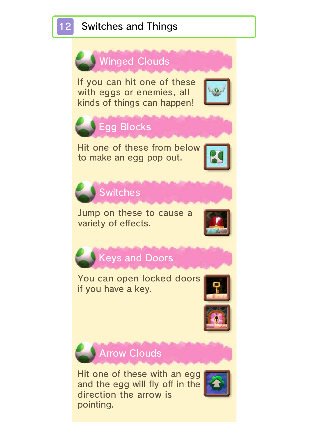

## 12 Switches and Things

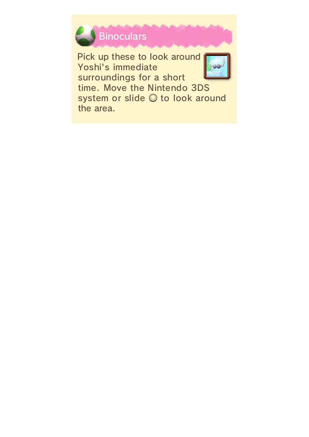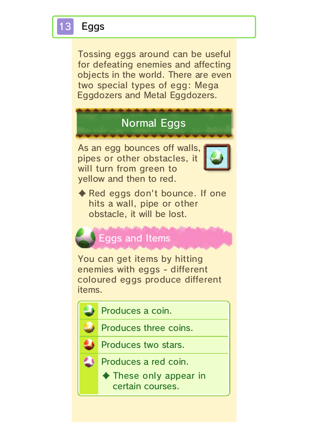## **Eggs**

Tossing eggs around can be useful for defeating enemies and affecting objects in the world. There are even two special types of egg: Mega Eggdozers and Metal Eggdozers.

## Normal Eggs

As an egg bounces off walls, pipes or other obstacles, it will turn from green to yellow and then to red.



◆ Red eggs don't bounce. If one hits a wall, pipe or other obstacle, it will be lost.

## Eggs and Items

You can get items by hitting enemies with eggs - different coloured eggs produce different items.

- Produces a coin.
	- Produces three coins.
		- Produces two stars.
- ۵ Produces a red coin.
	- ♦ These only appear in certain courses.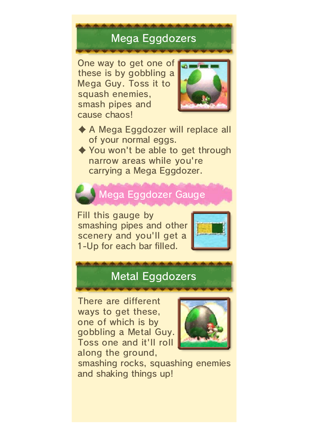# Mega Eggdozers

One way to get one of these is by gobbling a Mega Guy. Toss it to squash enemies, smash pipes and cause chaos!



♦ A Mega Eggdozer will replace all of your normal eggs.

◆ You won't be able to get through narrow areas while you're carrying a Mega Eggdozer.

# Mega Eggdozer Gauge

Fill this gauge by smashing pipes and other scenery and you'll get a 1-Up for each bar filled.



## Metal Eggdozers

There are different ways to get these, one of which is by gobbling a Metal Guy. Toss one and it'll roll along the ground,



smashing rocks, squashing enemies and shaking things up!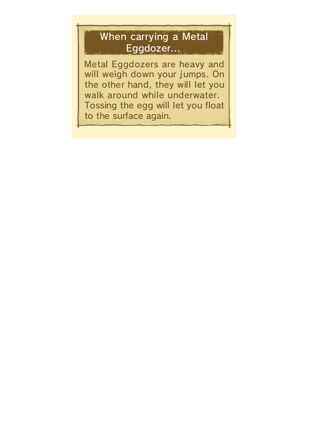## When carrying a Metal Eggdozer...

Metal Eggdozers are heavy and will weigh down your jumps. On the other hand, they will let you walk around while underwater. Tossing the egg will let you float to the surface again.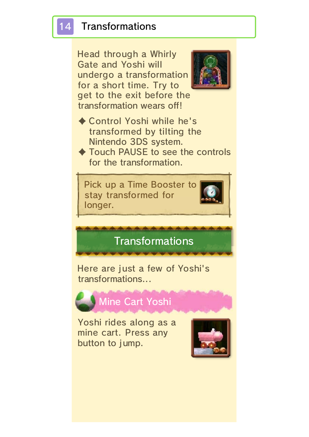#### **Transformations**

Head through a Whirly Gate and Yoshi will undergo a transformation for a short time. Try to get to the exit before the transformation wears off!



- ♦ Control Yoshi while he's transformed by tilting the Nintendo 3DS system.
- ♦ Touch PAUSE to see the controls for the transformation.



**Transformations** 

Here are just a few of Yoshi's transformations...



#### Mine Cart Yoshi

Yoshi rides along as a mine cart. Press any button to jump.

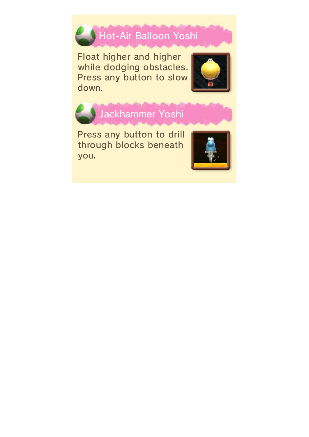

Float higher and higher while dodging obstacles. Press any button to slow down.





Jackhammer Yoshi

Press any button to drill through blocks beneath you.

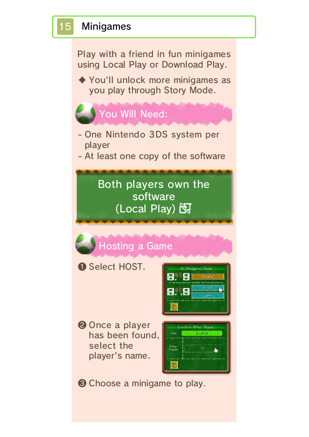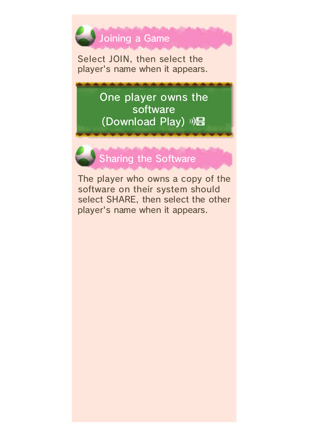

Select JOIN, then select the player's name when it appears.

> One player owns the software (Download Play) ) **是**



The player who owns a copy of the software on their system should select SHARE, then select the other player's name when it appears.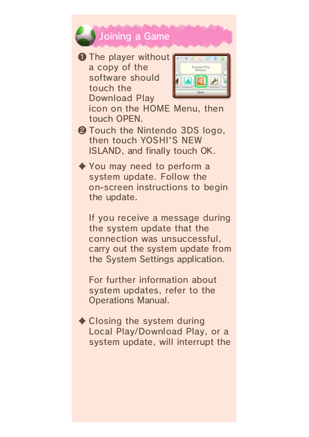

❶ The player without a copy of the software should touch the Download Play



icon on the HOME Menu, then touch OPEN.

- ❷ Touch the Nintendo 3DS logo, then touch YOSHI'S NEW ISLAND, and finally touch OK.
- ♦ You may need to perform a system update. Follow the on-screen instructions to begin the update.

If you receive a message during the system update that the connection was unsuccessful, carry out the system update from the System Settings application.

For further information about system updates, refer to the Operations Manual.

 $\triangle$  Closing the system during Local Play/Download Play, or a system update, will interrupt the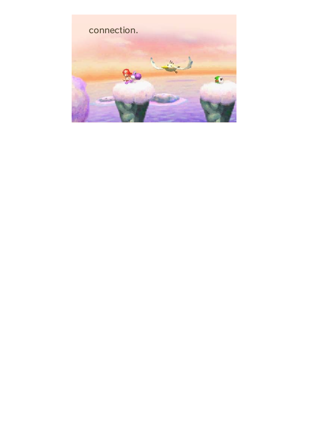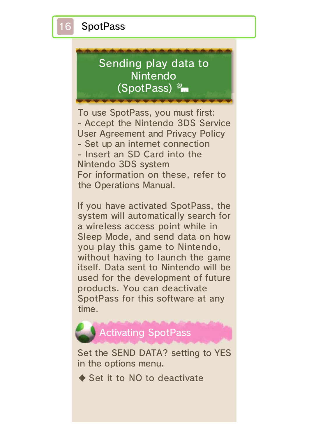**SpotPass** 

# Sending play data to Nintendo (SpotPass)  $\frac{2\pi}{2}$

To use SpotPass, you must first: - Accept the Nintendo 3DS Service User Agreement and Privacy Policy - Set up an internet connection - Insert an SD Card into the Nintendo 3DS system For information on these, refer to the Operations Manual.

If you have activated SpotPass, the system will automatically search for a wireless access point while in Sleep Mode, and send data on how you play this game to Nintendo, without having to launch the game itself. Data sent to Nintendo will be used for the development of future products. You can deactivate SpotPass for this software at any time.



Set the SEND DATA? setting to YES in the options menu.

 $\triangle$  Set it to NO to deactivate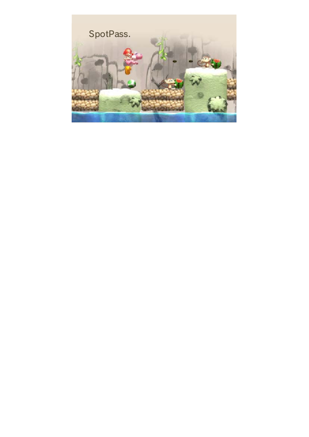